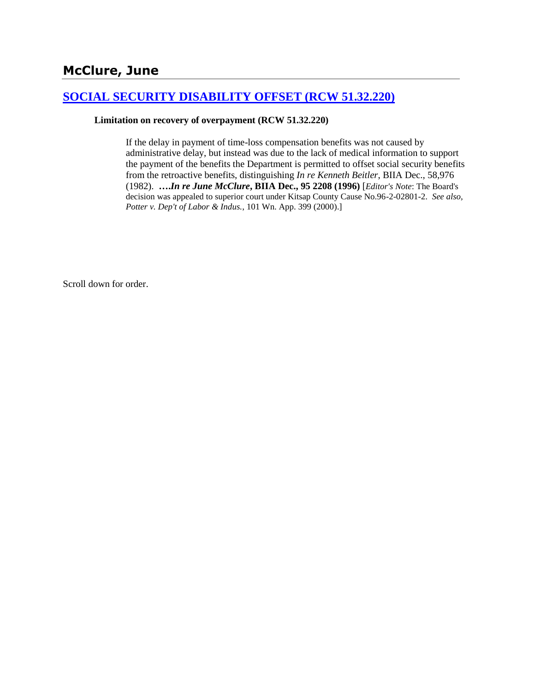# **McClure, June**

# **[SOCIAL SECURITY DISABILITY OFFSET \(RCW 51.32.220\)](http://www.biia.wa.gov/SDSubjectIndex.html#SOCIAL_SECURITY_DISABILITY_OFFSET)**

### **Limitation on recovery of overpayment (RCW 51.32.220)**

If the delay in payment of time-loss compensation benefits was not caused by administrative delay, but instead was due to the lack of medical information to support the payment of the benefits the Department is permitted to offset social security benefits from the retroactive benefits, distinguishing *In re Kenneth Beitler*, BIIA Dec., 58,976 (1982). **….***In re June McClure***, BIIA Dec., 95 2208 (1996)** [*Editor's Note*: The Board's decision was appealed to superior court under Kitsap County Cause No.96-2-02801-2. *See also, Potter v. Dep't of Labor & Indus.*, 101 Wn. App. 399 (2000).]

Scroll down for order.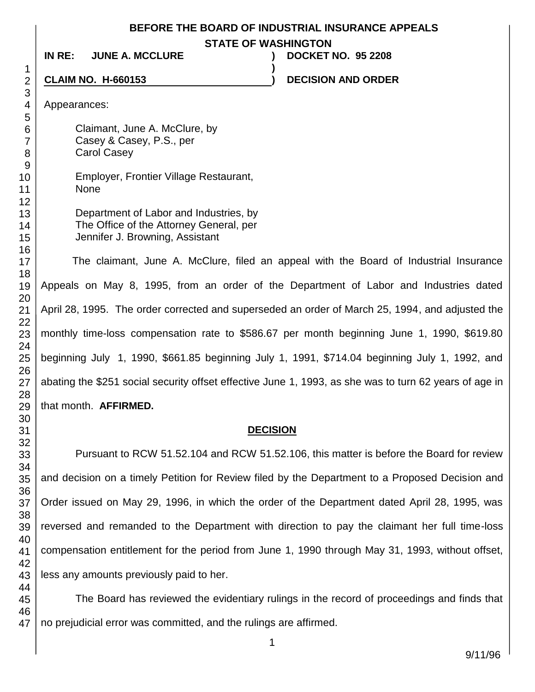#### **BEFORE THE BOARD OF INDUSTRIAL INSURANCE APPEALS**

**STATE OF WASHINGTON**

**)**

**IN RE: JUNE A. MCCLURE ) DOCKET NO. 95 2208**

# **CLAIM NO. H-660153 ) DECISION AND ORDER**

Appearances:

Claimant, June A. McClure, by Casey & Casey, P.S., per Carol Casey

Employer, Frontier Village Restaurant, None

Department of Labor and Industries, by The Office of the Attorney General, per Jennifer J. Browning, Assistant

The claimant, June A. McClure, filed an appeal with the Board of Industrial Insurance Appeals on May 8, 1995, from an order of the Department of Labor and Industries dated April 28, 1995. The order corrected and superseded an order of March 25, 1994, and adjusted the monthly time-loss compensation rate to \$586.67 per month beginning June 1, 1990, \$619.80 beginning July 1, 1990, \$661.85 beginning July 1, 1991, \$714.04 beginning July 1, 1992, and abating the \$251 social security offset effective June 1, 1993, as she was to turn 62 years of age in that month. **AFFIRMED.**

### **DECISION**

Pursuant to RCW 51.52.104 and RCW 51.52.106, this matter is before the Board for review and decision on a timely Petition for Review filed by the Department to a Proposed Decision and Order issued on May 29, 1996, in which the order of the Department dated April 28, 1995, was reversed and remanded to the Department with direction to pay the claimant her full time-loss compensation entitlement for the period from June 1, 1990 through May 31, 1993, without offset, less any amounts previously paid to her.

 The Board has reviewed the evidentiary rulings in the record of proceedings and finds that no prejudicial error was committed, and the rulings are affirmed.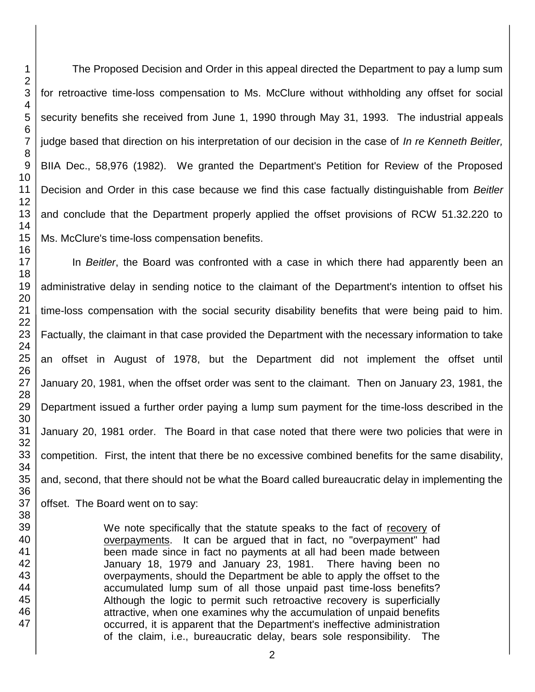The Proposed Decision and Order in this appeal directed the Department to pay a lump sum for retroactive time-loss compensation to Ms. McClure without withholding any offset for social security benefits she received from June 1, 1990 through May 31, 1993. The industrial appeals judge based that direction on his interpretation of our decision in the case of *In re Kenneth Beitler,* BIIA Dec., 58,976 (1982). We granted the Department's Petition for Review of the Proposed Decision and Order in this case because we find this case factually distinguishable from *Beitler*  and conclude that the Department properly applied the offset provisions of RCW 51.32.220 to Ms. McClure's time-loss compensation benefits.

In *Beitler*, the Board was confronted with a case in which there had apparently been an administrative delay in sending notice to the claimant of the Department's intention to offset his time-loss compensation with the social security disability benefits that were being paid to him. Factually, the claimant in that case provided the Department with the necessary information to take an offset in August of 1978, but the Department did not implement the offset until January 20, 1981, when the offset order was sent to the claimant. Then on January 23, 1981, the Department issued a further order paying a lump sum payment for the time-loss described in the January 20, 1981 order. The Board in that case noted that there were two policies that were in competition. First, the intent that there be no excessive combined benefits for the same disability, and, second, that there should not be what the Board called bureaucratic delay in implementing the offset. The Board went on to say:

> We note specifically that the statute speaks to the fact of recovery of overpayments. It can be argued that in fact, no "overpayment" had been made since in fact no payments at all had been made between January 18, 1979 and January 23, 1981. There having been no overpayments, should the Department be able to apply the offset to the accumulated lump sum of all those unpaid past time-loss benefits? Although the logic to permit such retroactive recovery is superficially attractive, when one examines why the accumulation of unpaid benefits occurred, it is apparent that the Department's ineffective administration of the claim, i.e., bureaucratic delay, bears sole responsibility. The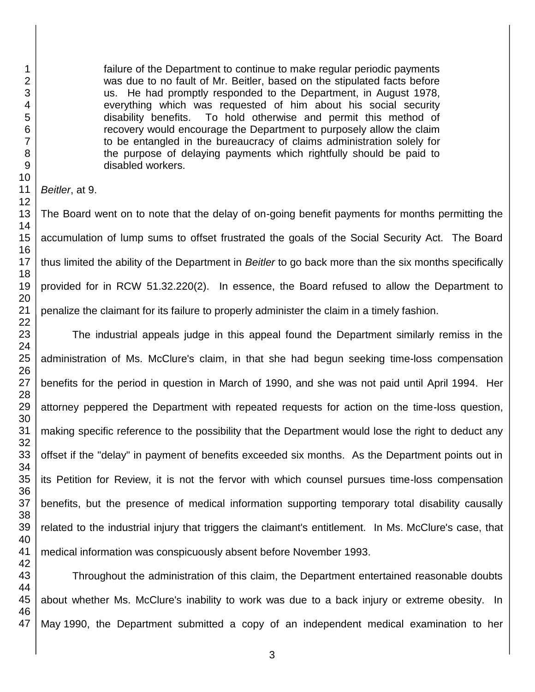failure of the Department to continue to make regular periodic payments was due to no fault of Mr. Beitler, based on the stipulated facts before us. He had promptly responded to the Department, in August 1978, everything which was requested of him about his social security disability benefits. To hold otherwise and permit this method of recovery would encourage the Department to purposely allow the claim to be entangled in the bureaucracy of claims administration solely for the purpose of delaying payments which rightfully should be paid to disabled workers.

*Beitler*, at 9.

The Board went on to note that the delay of on-going benefit payments for months permitting the accumulation of lump sums to offset frustrated the goals of the Social Security Act. The Board thus limited the ability of the Department in *Beitler* to go back more than the six months specifically provided for in RCW 51.32.220(2). In essence, the Board refused to allow the Department to penalize the claimant for its failure to properly administer the claim in a timely fashion.

The industrial appeals judge in this appeal found the Department similarly remiss in the administration of Ms. McClure's claim, in that she had begun seeking time-loss compensation benefits for the period in question in March of 1990, and she was not paid until April 1994. Her attorney peppered the Department with repeated requests for action on the time-loss question, making specific reference to the possibility that the Department would lose the right to deduct any offset if the "delay" in payment of benefits exceeded six months. As the Department points out in its Petition for Review, it is not the fervor with which counsel pursues time-loss compensation benefits, but the presence of medical information supporting temporary total disability causally related to the industrial injury that triggers the claimant's entitlement. In Ms. McClure's case, that medical information was conspicuously absent before November 1993.

Throughout the administration of this claim, the Department entertained reasonable doubts about whether Ms. McClure's inability to work was due to a back injury or extreme obesity. In May 1990, the Department submitted a copy of an independent medical examination to her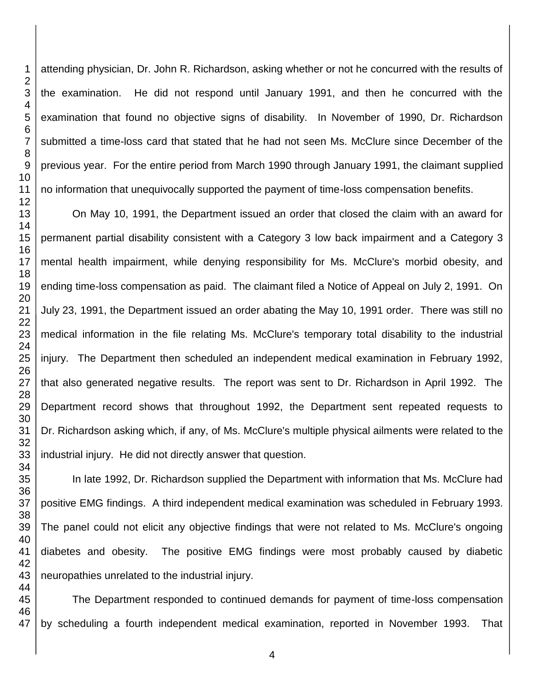attending physician, Dr. John R. Richardson, asking whether or not he concurred with the results of the examination. He did not respond until January 1991, and then he concurred with the examination that found no objective signs of disability. In November of 1990, Dr. Richardson submitted a time-loss card that stated that he had not seen Ms. McClure since December of the previous year. For the entire period from March 1990 through January 1991, the claimant supplied no information that unequivocally supported the payment of time-loss compensation benefits.

On May 10, 1991, the Department issued an order that closed the claim with an award for permanent partial disability consistent with a Category 3 low back impairment and a Category 3 mental health impairment, while denying responsibility for Ms. McClure's morbid obesity, and ending time-loss compensation as paid. The claimant filed a Notice of Appeal on July 2, 1991. On July 23, 1991, the Department issued an order abating the May 10, 1991 order. There was still no medical information in the file relating Ms. McClure's temporary total disability to the industrial injury. The Department then scheduled an independent medical examination in February 1992, that also generated negative results. The report was sent to Dr. Richardson in April 1992. The Department record shows that throughout 1992, the Department sent repeated requests to Dr. Richardson asking which, if any, of Ms. McClure's multiple physical ailments were related to the industrial injury. He did not directly answer that question.

In late 1992, Dr. Richardson supplied the Department with information that Ms. McClure had positive EMG findings. A third independent medical examination was scheduled in February 1993. The panel could not elicit any objective findings that were not related to Ms. McClure's ongoing diabetes and obesity. The positive EMG findings were most probably caused by diabetic neuropathies unrelated to the industrial injury.

 The Department responded to continued demands for payment of time-loss compensation by scheduling a fourth independent medical examination, reported in November 1993. That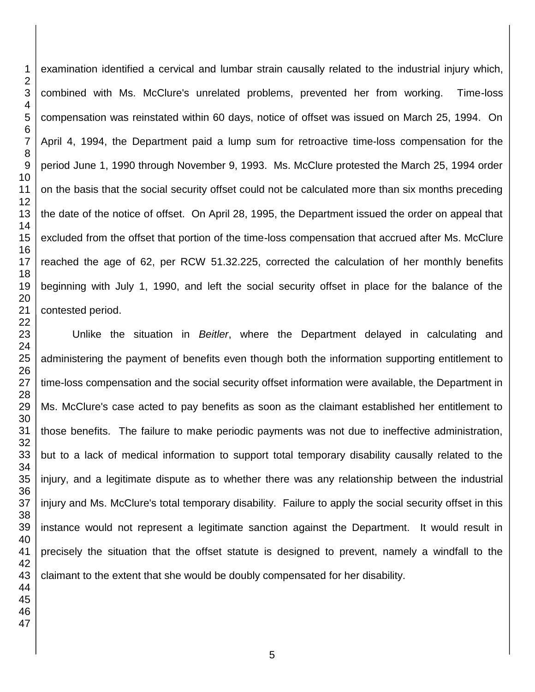examination identified a cervical and lumbar strain causally related to the industrial injury which, combined with Ms. McClure's unrelated problems, prevented her from working. Time-loss compensation was reinstated within 60 days, notice of offset was issued on March 25, 1994. On April 4, 1994, the Department paid a lump sum for retroactive time-loss compensation for the period June 1, 1990 through November 9, 1993. Ms. McClure protested the March 25, 1994 order on the basis that the social security offset could not be calculated more than six months preceding the date of the notice of offset. On April 28, 1995, the Department issued the order on appeal that excluded from the offset that portion of the time-loss compensation that accrued after Ms. McClure reached the age of 62, per RCW 51.32.225, corrected the calculation of her monthly benefits beginning with July 1, 1990, and left the social security offset in place for the balance of the contested period.

Unlike the situation in *Beitler*, where the Department delayed in calculating and administering the payment of benefits even though both the information supporting entitlement to time-loss compensation and the social security offset information were available, the Department in Ms. McClure's case acted to pay benefits as soon as the claimant established her entitlement to those benefits. The failure to make periodic payments was not due to ineffective administration, but to a lack of medical information to support total temporary disability causally related to the injury, and a legitimate dispute as to whether there was any relationship between the industrial injury and Ms. McClure's total temporary disability. Failure to apply the social security offset in this instance would not represent a legitimate sanction against the Department. It would result in precisely the situation that the offset statute is designed to prevent, namely a windfall to the claimant to the extent that she would be doubly compensated for her disability.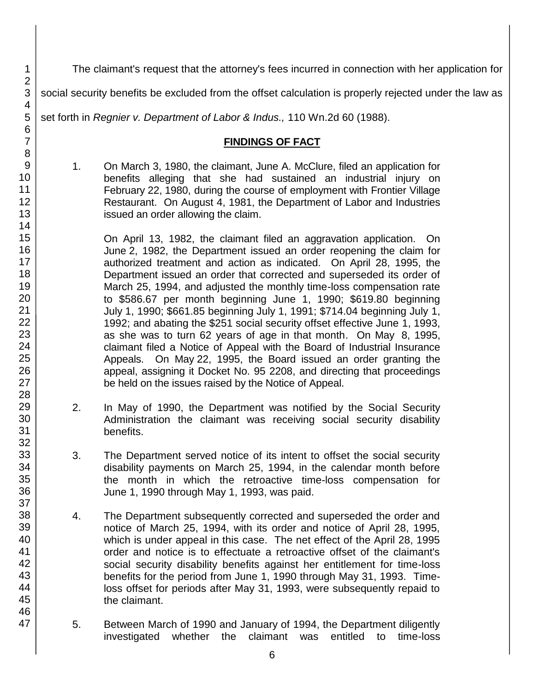The claimant's request that the attorney's fees incurred in connection with her application for

social security benefits be excluded from the offset calculation is properly rejected under the law as

set forth in *Regnier v. Department of Labor & Indus.,* 110 Wn.2d 60 (1988).

# **FINDINGS OF FACT**

1. On March 3, 1980, the claimant, June A. McClure, filed an application for benefits alleging that she had sustained an industrial injury on February 22, 1980, during the course of employment with Frontier Village Restaurant. On August 4, 1981, the Department of Labor and Industries issued an order allowing the claim.

On April 13, 1982, the claimant filed an aggravation application. On June 2, 1982, the Department issued an order reopening the claim for authorized treatment and action as indicated. On April 28, 1995, the Department issued an order that corrected and superseded its order of March 25, 1994, and adjusted the monthly time-loss compensation rate to \$586.67 per month beginning June 1, 1990; \$619.80 beginning July 1, 1990; \$661.85 beginning July 1, 1991; \$714.04 beginning July 1, 1992; and abating the \$251 social security offset effective June 1, 1993, as she was to turn 62 years of age in that month. On May 8, 1995, claimant filed a Notice of Appeal with the Board of Industrial Insurance Appeals. On May 22, 1995, the Board issued an order granting the appeal, assigning it Docket No. 95 2208, and directing that proceedings be held on the issues raised by the Notice of Appeal.

- 2. In May of 1990, the Department was notified by the Social Security Administration the claimant was receiving social security disability benefits.
- 3. The Department served notice of its intent to offset the social security disability payments on March 25, 1994, in the calendar month before the month in which the retroactive time-loss compensation for June 1, 1990 through May 1, 1993, was paid.
- 4. The Department subsequently corrected and superseded the order and notice of March 25, 1994, with its order and notice of April 28, 1995, which is under appeal in this case. The net effect of the April 28, 1995 order and notice is to effectuate a retroactive offset of the claimant's social security disability benefits against her entitlement for time-loss benefits for the period from June 1, 1990 through May 31, 1993. Timeloss offset for periods after May 31, 1993, were subsequently repaid to the claimant.
- 5. Between March of 1990 and January of 1994, the Department diligently investigated whether the claimant was entitled to time-loss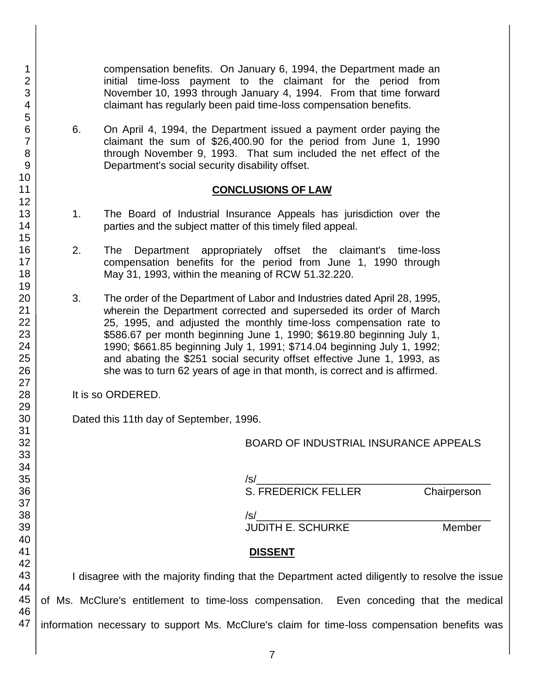compensation benefits. On January 6, 1994, the Department made an initial time-loss payment to the claimant for the period from November 10, 1993 through January 4, 1994. From that time forward claimant has regularly been paid time-loss compensation benefits.

6. On April 4, 1994, the Department issued a payment order paying the claimant the sum of \$26,400.90 for the period from June 1, 1990 through November 9, 1993. That sum included the net effect of the Department's social security disability offset.

### **CONCLUSIONS OF LAW**

- 1. The Board of Industrial Insurance Appeals has jurisdiction over the parties and the subject matter of this timely filed appeal.
- 2. The Department appropriately offset the claimant's time-loss compensation benefits for the period from June 1, 1990 through May 31, 1993, within the meaning of RCW 51.32.220.
- 3. The order of the Department of Labor and Industries dated April 28, 1995, wherein the Department corrected and superseded its order of March 25, 1995, and adjusted the monthly time-loss compensation rate to \$586.67 per month beginning June 1, 1990; \$619.80 beginning July 1, 1990; \$661.85 beginning July 1, 1991; \$714.04 beginning July 1, 1992; and abating the \$251 social security offset effective June 1, 1993, as she was to turn 62 years of age in that month, is correct and is affirmed.

It is so ORDERED.

Dated this 11th day of September, 1996.

BOARD OF INDUSTRIAL INSURANCE APPEALS

/s/\_\_\_\_\_\_\_\_\_\_\_\_\_\_\_\_\_\_\_\_\_\_\_\_\_\_\_\_\_\_\_\_\_\_\_\_\_\_\_\_ S. FREDERICK FELLER Chairperson

/s/\_\_\_\_\_\_\_\_\_\_\_\_\_\_\_\_\_\_\_\_\_\_\_\_\_\_\_\_\_\_\_\_\_\_\_\_\_\_\_\_ JUDITH E. SCHURKE Member **DISSENT** I disagree with the majority finding that the Department acted diligently to resolve the issue of Ms. McClure's entitlement to time-loss compensation. Even conceding that the medical information necessary to support Ms. McClure's claim for time-loss compensation benefits was

1